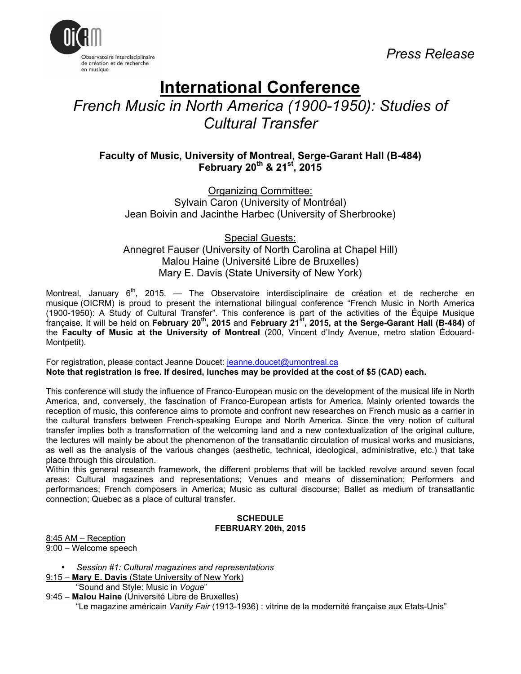

# **International Conference**

*French Music in North America (1900-1950): Studies of Cultural Transfer*

**Faculty of Music, University of Montreal, Serge-Garant Hall (B-484) February 20th & 21st, 2015**

Organizing Committee: Sylvain Caron (University of Montréal) Jean Boivin and Jacinthe Harbec (University of Sherbrooke)

Special Guests: Annegret Fauser (University of North Carolina at Chapel Hill) Malou Haine (Université Libre de Bruxelles) Mary E. Davis (State University of New York)

Montreal, January  $6<sup>th</sup>$ , 2015. — The Observatoire interdisciplinaire de création et de recherche en musique (OICRM) is proud to present the international bilingual conference "French Music in North America (1900-1950): A Study of Cultural Transfer". This conference is part of the activities of the Équipe Musique française. It will be held on **February 20th, 2015** and **February 21st, 2015, at the Serge-Garant Hall (B-484)** of the **Faculty of Music at the University of Montreal** (200, Vincent d'Indy Avenue, metro station Édouard-Montpetit).

For registration, please contact Jeanne Doucet: jeanne.doucet@umontreal.ca **Note that registration is free. If desired, lunches may be provided at the cost of \$5 (CAD) each.**

This conference will study the influence of Franco-European music on the development of the musical life in North America, and, conversely, the fascination of Franco-European artists for America. Mainly oriented towards the reception of music, this conference aims to promote and confront new researches on French music as a carrier in the cultural transfers between French-speaking Europe and North America. Since the very notion of cultural transfer implies both a transformation of the welcoming land and a new contextualization of the original culture, the lectures will mainly be about the phenomenon of the transatlantic circulation of musical works and musicians, as well as the analysis of the various changes (aesthetic, technical, ideological, administrative, etc.) that take place through this circulation.

Within this general research framework, the different problems that will be tackled revolve around seven focal areas: Cultural magazines and representations; Venues and means of dissemination; Performers and performances; French composers in America; Music as cultural discourse; Ballet as medium of transatlantic connection; Quebec as a place of cultural transfer.

#### **SCHEDULE FEBRUARY 20th, 2015**

8:45 AM – Reception 9:00 – Welcome speech

• *Session #1: Cultural magazines and representations*

9:15 – **Mary E. Davis** (State University of New York)

"Sound and Style: Music in *Vogue*"

9:45 – **Malou Haine** (Université Libre de Bruxelles) "Le magazine américain *Vanity Fair* (1913-1936) : vitrine de la modernité française aux Etats-Unis"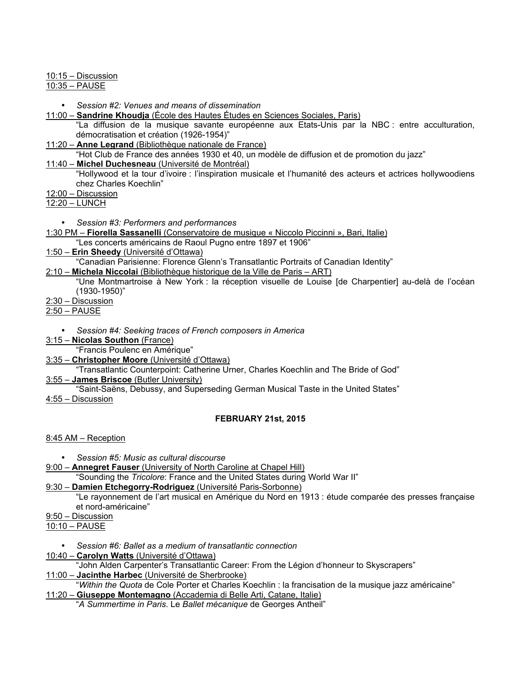10:15 – Discussion

10:35 – PAUSE

- *Session #2: Venues and means of dissemination*
- 11:00 **Sandrine Khoudja** (École des Hautes Études en Sciences Sociales, Paris)

"La diffusion de la musique savante européenne aux Etats-Unis par la NBC : entre acculturation, démocratisation et création (1926-1954)"

- 11:20 **Anne Legrand** (Bibliothèque nationale de France)
	- "Hot Club de France des années 1930 et 40, un modèle de diffusion et de promotion du jazz"
- 11:40 **Michel Duchesneau** (Université de Montréal)
	- "Hollywood et la tour d'ivoire : l'inspiration musicale et l'humanité des acteurs et actrices hollywoodiens chez Charles Koechlin"
- 12:00 Discussion

12:20 – LUNCH

- *Session #3: Performers and performances*
- 1:30 PM **Fiorella Sassanelli** (Conservatoire de musique « Niccolo Piccinni », Bari, Italie)
	- "Les concerts américains de Raoul Pugno entre 1897 et 1906"
- 1:50 **Erin Sheedy** (Université d'Ottawa)

"Canadian Parisienne: Florence Glenn's Transatlantic Portraits of Canadian Identity"

- 2:10 **Michela Niccolai** (Bibliothèque historique de la Ville de Paris ART)
	- "Une Montmartroise à New York : la réception visuelle de Louise [de Charpentier] au-delà de l'océan (1930-1950)"
- 2:30 Discussion

2:50 – PAUSE

- *Session #4: Seeking traces of French composers in America*
- 3:15 **Nicolas Southon** (France)
- "Francis Poulenc en Amérique"
- 3:35 **Christopher Moore** (Université d'Ottawa)

"Transatlantic Counterpoint: Catherine Urner, Charles Koechlin and The Bride of God" 3:55 – **James Briscoe** (Butler University)

"Saint-Saëns, Debussy, and Superseding German Musical Taste in the United States" 4:55 – Discussion

## **FEBRUARY 21st, 2015**

8:45 AM – Reception

• *Session #5: Music as cultural discourse*

- 9:00 **Annegret Fauser** (University of North Caroline at Chapel Hill)
- "Sounding the *Tricolore*: France and the United States during World War II"

## 9:30 – **Damien Etchegorry-Rodriguez** (Université Paris-Sorbonne)

- "Le rayonnement de l'art musical en Amérique du Nord en 1913 : étude comparée des presses française et nord-américaine"
- 9:50 Discussion
- 10:10 PAUSE
	- *Session #6: Ballet as a medium of transatlantic connection*
- 10:40 **Carolyn Watts** (Université d'Ottawa)

"John Alden Carpenter's Transatlantic Career: From the Légion d'honneur to Skyscrapers"

11:00 – **Jacinthe Harbec** (Université de Sherbrooke)

"*Within the Quota* de Cole Porter et Charles Koechlin : la francisation de la musique jazz américaine" 11:20 – **Giuseppe Montemagno** (Accademia di Belle Arti, Catane, Italie)

"*A Summertime in Paris*. Le *Ballet mécanique* de Georges Antheil"